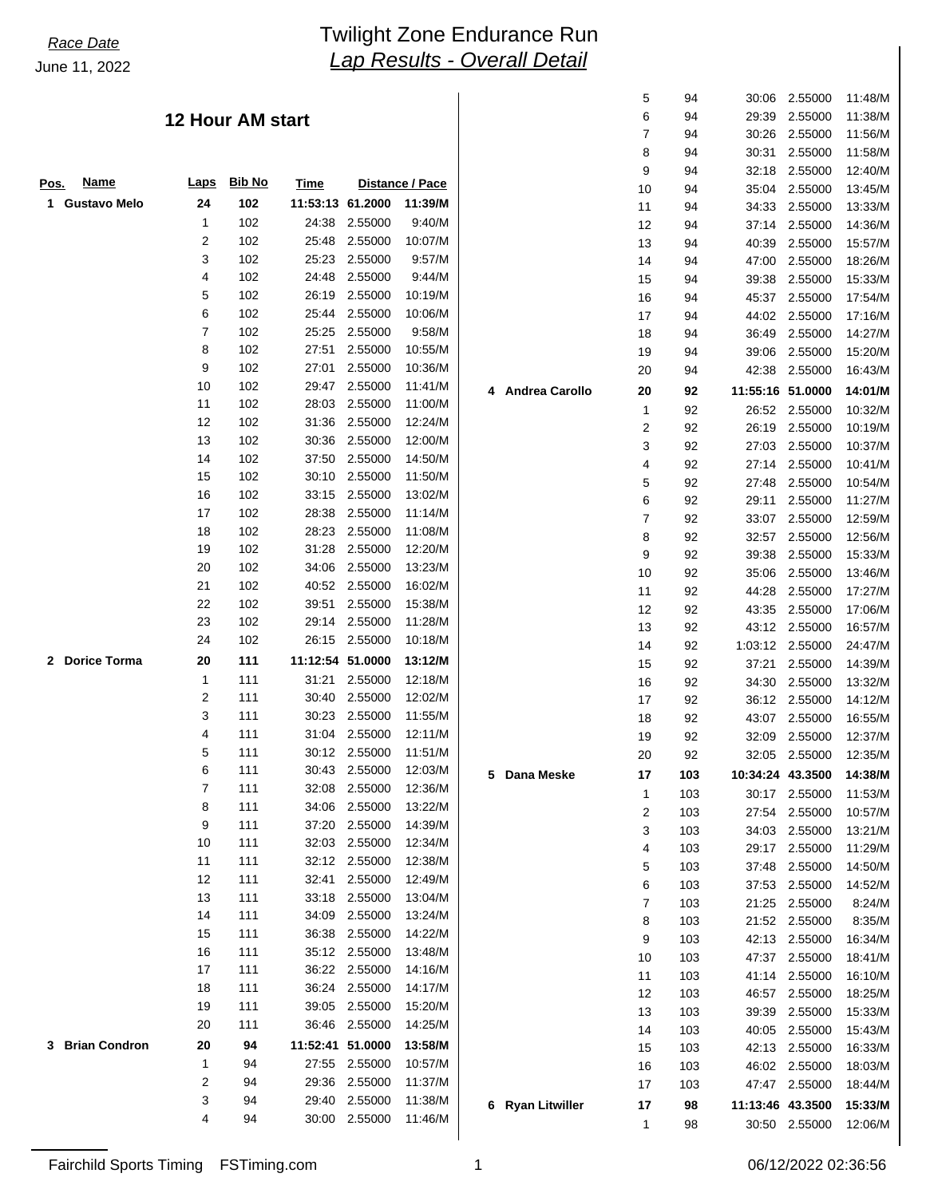## *Lap Results - Overall Detail* June 11, 2022 *Race Date* Twilight Zone Endurance Run

### **12 Hour AM start**

|                            |             |        |                  |               |                 |                  | 9              | 94  |                  | 32:18 2.55000   | 12:40/M |
|----------------------------|-------------|--------|------------------|---------------|-----------------|------------------|----------------|-----|------------------|-----------------|---------|
| <u>Name</u><br>Pos.        | <u>Laps</u> | Bib No | Time             |               | Distance / Pace |                  | 10             | 94  | 35:04            | 2.55000         | 13:45/M |
| <b>Gustavo Melo</b><br>1   | 24          | 102    | 11:53:13 61.2000 |               | 11:39/M         |                  | 11             | 94  |                  | 34:33 2.55000   | 13:33/M |
|                            | 1           | 102    |                  | 24:38 2.55000 | 9:40/M          |                  | 12             | 94  |                  | 37:14 2.55000   | 14:36/M |
|                            | 2           | 102    |                  | 25:48 2.55000 | 10:07/M         |                  | 13             | 94  | 40:39            | 2.55000         | 15:57/M |
|                            | 3           | 102    |                  | 25:23 2.55000 | 9:57/M          |                  | 14             | 94  | 47:00            | 2.55000         | 18:26/M |
|                            | 4           | 102    |                  | 24:48 2.55000 | 9:44/M          |                  | 15             | 94  | 39:38            | 2.55000         | 15:33/M |
|                            | 5           | 102    |                  | 26:19 2.55000 | 10:19/M         |                  | 16             | 94  | 45:37            | 2.55000         | 17:54/M |
|                            | 6           | 102    |                  | 25:44 2.55000 | 10:06/M         |                  | 17             | 94  |                  | 44:02 2.55000   | 17:16/M |
|                            | 7           | 102    |                  | 25:25 2.55000 | 9:58/M          |                  | 18             | 94  |                  | 36:49 2.55000   | 14:27/M |
|                            | 8           | 102    | 27:51            | 2.55000       | 10:55/M         |                  | 19             | 94  |                  | 39:06 2.55000   | 15:20/M |
|                            | 9           | 102    | 27:01            | 2.55000       | 10:36/M         |                  | 20             | 94  |                  | 42:38 2.55000   | 16:43/M |
|                            | 10          | 102    |                  | 29:47 2.55000 | 11:41/M         | 4 Andrea Carollo | 20             | 92  | 11:55:16 51.0000 |                 |         |
|                            | 11          | 102    |                  | 28:03 2.55000 | 11:00/M         |                  |                |     |                  |                 | 14:01/M |
|                            | 12          | 102    |                  | 31:36 2.55000 | 12:24/M         |                  | 1              | 92  |                  | 26:52 2.55000   | 10:32/M |
|                            | 13          | 102    |                  | 30:36 2.55000 | 12:00/M         |                  | 2              | 92  |                  | 26:19 2.55000   | 10:19/M |
|                            | 14          | 102    |                  | 37:50 2.55000 | 14:50/M         |                  | 3              | 92  | 27:03            | 2.55000         | 10:37/M |
|                            | 15          | 102    |                  | 30:10 2.55000 | 11:50/M         |                  | 4              | 92  |                  | 27:14 2.55000   | 10:41/N |
|                            | 16          | 102    |                  | 33:15 2.55000 | 13:02/M         |                  | 5              | 92  | 27:48            | 2.55000         | 10:54/M |
|                            | 17          | 102    |                  | 28:38 2.55000 | 11:14/M         |                  | 6              | 92  | 29:11            | 2.55000         | 11:27/M |
|                            | 18          | 102    |                  | 28:23 2.55000 | 11:08/M         |                  | $\overline{7}$ | 92  |                  | 33:07 2.55000   | 12:59/M |
|                            | 19          | 102    |                  | 31:28 2.55000 | 12:20/M         |                  | 8              | 92  | 32:57            | 2.55000         | 12:56/M |
|                            | 20          | 102    |                  | 34:06 2.55000 | 13:23/M         |                  | 9              | 92  | 39:38            | 2.55000         | 15:33/M |
|                            | 21          | 102    |                  | 40:52 2.55000 | 16:02/M         |                  | 10             | 92  | 35:06            | 2.55000         | 13:46/M |
|                            | 22          | 102    |                  | 39:51 2.55000 | 15:38/M         |                  | 11             | 92  | 44:28            | 2.55000         | 17:27/M |
|                            | 23          | 102    |                  | 29:14 2.55000 | 11:28/M         |                  | 12             | 92  | 43:35            | 2.55000         | 17:06/M |
|                            | 24          | 102    |                  | 26:15 2.55000 | 10:18/M         |                  | 13             | 92  |                  | 43:12 2.55000   | 16:57/M |
| 2 Dorice Torma             | 20          | 111    | 11:12:54 51.0000 |               | 13:12/M         |                  | 14             | 92  |                  | 1:03:12 2.55000 | 24:47/M |
|                            | 1           | 111    |                  | 31:21 2.55000 | 12:18/M         |                  | 15             | 92  | 37:21            | 2.55000         | 14:39/M |
|                            | 2           | 111    |                  | 30:40 2.55000 | 12:02/M         |                  | 16             | 92  | 34:30            | 2.55000         | 13:32/M |
|                            | 3           | 111    |                  | 30:23 2.55000 | 11:55/M         |                  | 17             | 92  |                  | 36:12 2.55000   | 14:12/M |
|                            | 4           | 111    |                  | 31:04 2.55000 | 12:11/M         |                  | 18             | 92  |                  | 43:07 2.55000   | 16:55/M |
|                            | 5           | 111    |                  | 30:12 2.55000 | 11:51/M         |                  | 19             | 92  | 32:09            | 2.55000         | 12:37/M |
|                            | 6           | 111    |                  | 30:43 2.55000 | 12:03/M         |                  | 20             | 92  |                  | 32:05 2.55000   | 12:35/M |
|                            | 7           | 111    |                  | 32:08 2.55000 | 12:36/M         | 5 Dana Meske     | 17             | 103 | 10:34:24 43.3500 |                 | 14:38/M |
|                            | 8           | 111    |                  | 34:06 2.55000 | 13:22/M         |                  | $\mathbf{1}$   | 103 |                  | 30:17 2.55000   | 11:53/M |
|                            | 9           | 111    |                  | 37:20 2.55000 | 14:39/M         |                  | $\overline{2}$ | 103 | 27:54            | 2.55000         | 10:57/M |
|                            | 10          | 111    |                  | 32:03 2.55000 | 12:34/M         |                  | 3              | 103 | 34:03            | 2.55000         | 13:21/M |
|                            | 11          | 111    |                  | 32:12 2.55000 | 12:38/M         |                  | 4              | 103 | 29:17            | 2.55000         | 11:29/M |
|                            | 12          | 111    |                  | 32:41 2.55000 | 12:49/M         |                  | 5              | 103 | 37:48            | 2.55000         | 14:50/M |
|                            | 13          | 111    |                  | 33:18 2.55000 | 13:04/M         |                  | 6              | 103 |                  | 37:53 2.55000   | 14:52/M |
|                            | 14          | 111    |                  | 34:09 2.55000 | 13:24/M         |                  | 7              | 103 |                  | 21:25 2.55000   | 8:24/N  |
|                            | 15          | 111    |                  | 36:38 2.55000 | 14:22/M         |                  | 8              | 103 |                  | 21:52 2.55000   | 8:35/N  |
|                            | 16          | 111    |                  | 35:12 2.55000 |                 |                  | 9              | 103 |                  | 42:13 2.55000   | 16:34/M |
|                            | 17          | 111    |                  | 36:22 2.55000 | 13:48/M         |                  | 10             | 103 | 47:37            | 2.55000         | 18:41/M |
|                            |             |        |                  |               | 14:16/M         |                  | 11             | 103 | 41:14            | 2.55000         | 16:10/M |
|                            | 18          | 111    |                  | 36:24 2.55000 | 14:17/M         |                  | 12             | 103 |                  | 46:57 2.55000   | 18:25/M |
|                            | 19          | 111    |                  | 39:05 2.55000 | 15:20/M         |                  | 13             | 103 | 39:39            | 2.55000         | 15:33/M |
|                            | 20          | 111    |                  | 36:46 2.55000 | 14:25/M         |                  | 14             | 103 | 40:05            | 2.55000         | 15:43/M |
| <b>Brian Condron</b><br>3. | 20          | 94     | 11:52:41 51.0000 |               | 13:58/M         |                  | 15             | 103 | 42:13            | 2.55000         | 16:33/M |
|                            | 1           | 94     |                  | 27:55 2.55000 | 10:57/M         |                  | 16             | 103 |                  | 46:02 2.55000   | 18:03/M |
|                            | 2           | 94     |                  | 29:36 2.55000 | 11:37/M         |                  | 17             | 103 |                  | 47:47 2.55000   | 18:44/M |
|                            | 3           | 94     |                  | 29:40 2.55000 | 11:38/M         | 6 Ryan Litwiller | 17             | 98  | 11:13:46 43.3500 |                 | 15:33/M |
|                            | 4           | 94     |                  | 30:00 2.55000 | 11:46/M         |                  | 1              | 98  |                  | 30:50 2.55000   | 12:06/M |
|                            |             |        |                  |               |                 |                  |                |     |                  |                 |         |

|  | 06/12/2022 02:36: |  |
|--|-------------------|--|

 5 94 30:06 2.55000 11:48/M 6 94 29:39 2.55000 11:38/M 7 94 30:26 2.55000 11:56/M 8 94 30:31 2.55000 11:58/M 9 94 32:18 2.55000 12:40/M 10 94 35:04 2.55000 13:45/M 11 94 34:33 2.55000 13:33/M 12 94 37:14 2.55000 14:36/M 13 94 40:39 2.55000 15:57/M 14 94 47:00 2.55000 18:26/M 15 94 39:38 2.55000 15:33/M 16 94 45:37 2.55000 17:54/M 17 94 44:02 2.55000 17:16/M 18 94 36:49 2.55000 14:27/M 19 94 39:06 2.55000 15:20/M 20 94 42:38 2.55000 16:43/M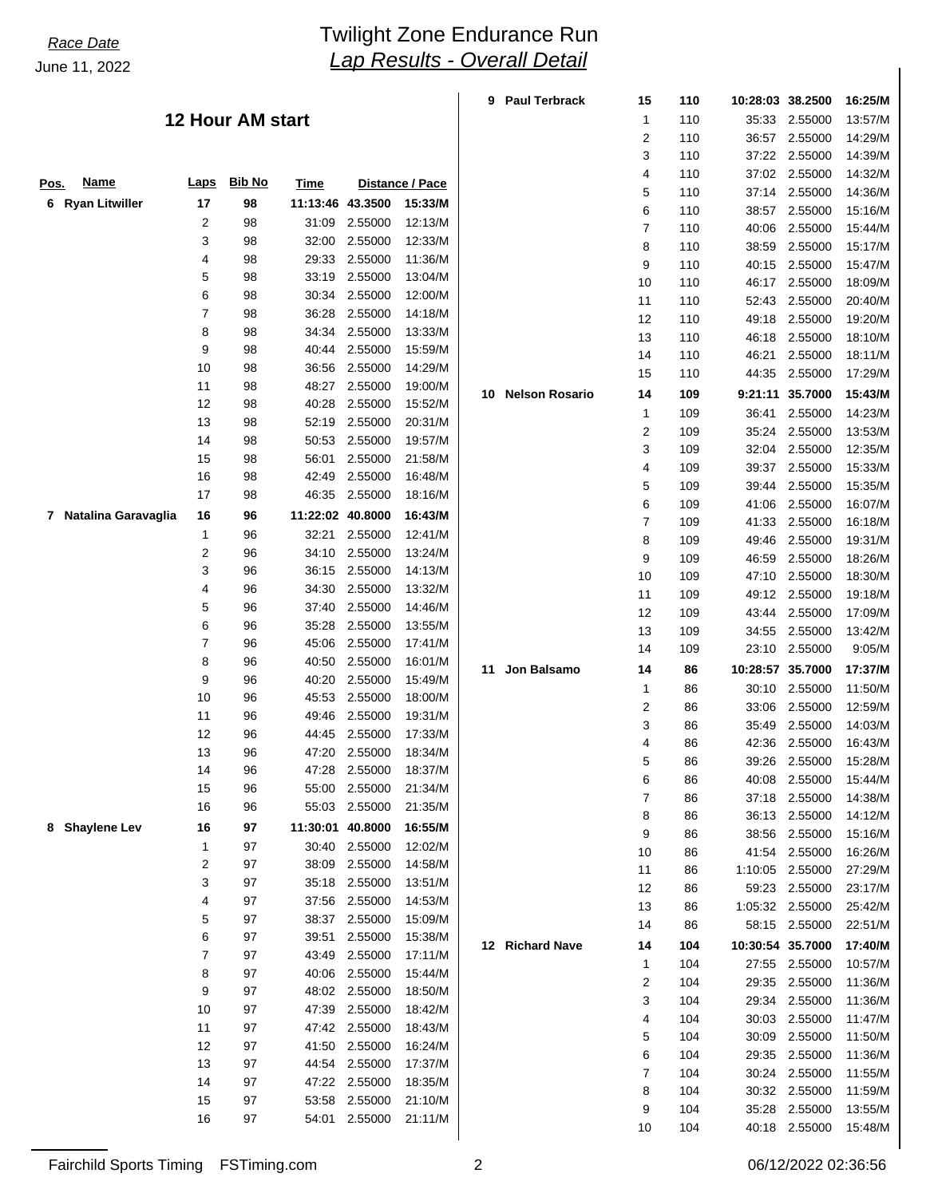## *Lap Results - Overall Detail* June 11, 2022 **Twilight Zone Endurance Run**

 $\overline{1}$ 

|                          |                |                         |                  |                    |                        | 9  | <b>Paul Terbrack</b> | 15 | 110 | 10:28:03 38.2500 |                 | 16:25/M |
|--------------------------|----------------|-------------------------|------------------|--------------------|------------------------|----|----------------------|----|-----|------------------|-----------------|---------|
|                          |                | <b>12 Hour AM start</b> |                  |                    |                        |    |                      | 1  | 110 | 35:33            | 2.55000         | 13:57/M |
|                          |                |                         |                  |                    |                        |    |                      | 2  | 110 |                  | 36:57 2.55000   | 14:29/M |
|                          |                |                         |                  |                    |                        |    |                      | 3  | 110 |                  | 37:22 2.55000   | 14:39/M |
| <b>Name</b><br>Pos.      | <b>Laps</b>    | <b>Bib No</b>           | Time             |                    | <b>Distance / Pace</b> |    |                      | 4  | 110 |                  | 37:02 2.55000   | 14:32/M |
| <b>Ryan Litwiller</b>    |                |                         | 11:13:46 43.3500 |                    | 15:33/M                |    |                      | 5  | 110 |                  | 37:14 2.55000   | 14:36/M |
| 6                        | 17             | 98                      |                  |                    |                        |    |                      | 6  | 110 | 38:57            | 2.55000         | 15:16/M |
|                          | 2              | 98                      |                  | 31:09 2.55000      | 12:13/M                |    |                      | 7  | 110 | 40:06            | 2.55000         | 15:44/M |
|                          | 3              | 98                      | 32:00            | 2.55000            | 12:33/M                |    |                      | 8  | 110 | 38:59            | 2.55000         | 15:17/M |
|                          | 4              | 98                      | 29:33            | 2.55000            | 11:36/M                |    |                      | 9  | 110 | 40:15            | 2.55000         | 15:47/M |
|                          | 5<br>6         | 98                      | 33:19            | 2.55000<br>2.55000 | 13:04/M<br>12:00/M     |    |                      | 10 | 110 | 46:17            | 2.55000         | 18:09/M |
|                          | 7              | 98                      | 30:34            | 2.55000            |                        |    |                      | 11 | 110 | 52:43            | 2.55000         | 20:40/M |
|                          |                | 98                      | 36:28            | 2.55000            | 14:18/M                |    |                      | 12 | 110 | 49:18            | 2.55000         | 19:20/M |
|                          | 8<br>9         | 98                      | 34:34            | 2.55000            | 13:33/M                |    |                      | 13 | 110 | 46:18            | 2.55000         | 18:10/M |
|                          | 10             | 98<br>98                | 40:44            | 36:56 2.55000      | 15:59/M<br>14:29/M     |    |                      | 14 | 110 | 46:21            | 2.55000         | 18:11/M |
|                          | 11             | 98                      | 48:27            | 2.55000            | 19:00/M                |    |                      | 15 | 110 | 44:35            | 2.55000         | 17:29/M |
|                          | 12             | 98                      | 40:28            | 2.55000            | 15:52/M                |    | 10 Nelson Rosario    | 14 | 109 |                  | 9:21:11 35.7000 | 15:43/M |
|                          | 13             |                         |                  | 52:19 2.55000      | 20:31/M                |    |                      | 1  | 109 | 36:41            | 2.55000         | 14:23/M |
|                          | 14             | 98<br>98                |                  | 2.55000            |                        |    |                      | 2  | 109 | 35:24            | 2.55000         | 13:53/M |
|                          | 15             | 98                      | 50:53            | 2.55000            | 19:57/M<br>21:58/M     |    |                      | 3  | 109 | 32:04            | 2.55000         | 12:35/M |
|                          | 16             |                         | 56:01            | 2.55000            | 16:48/M                |    |                      | 4  | 109 | 39:37            | 2.55000         | 15:33/M |
|                          | 17             | 98<br>98                | 42:49            | 46:35 2.55000      | 18:16/M                |    |                      | 5  | 109 | 39:44            | 2.55000         | 15:35/M |
|                          |                |                         |                  |                    |                        |    |                      | 6  | 109 | 41:06            | 2.55000         | 16:07/M |
| 7 Natalina Garavaglia    | 16             | 96                      | 11:22:02 40.8000 |                    | 16:43/M                |    |                      | 7  | 109 | 41:33            | 2.55000         | 16:18/M |
|                          | 1              | 96                      | 32:21            | 2.55000            | 12:41/M                |    |                      | 8  | 109 | 49:46            | 2.55000         | 19:31/M |
|                          | $\overline{c}$ | 96                      | 34:10            | 2.55000            | 13:24/M                |    |                      | 9  | 109 | 46:59            | 2.55000         | 18:26/M |
|                          | 3              | 96                      | 36:15            | 2.55000            | 14:13/M                |    |                      | 10 | 109 | 47:10            | 2.55000         | 18:30/M |
|                          | 4              | 96                      | 34:30            | 2.55000            | 13:32/M                |    |                      | 11 | 109 |                  | 49:12 2.55000   | 19:18/M |
|                          | 5              | 96                      | 37:40            | 2.55000            | 14:46/M                |    |                      | 12 | 109 | 43:44            | 2.55000         | 17:09/M |
|                          | 6              | 96                      | 35:28            | 2.55000            | 13:55/M                |    |                      | 13 | 109 | 34:55            | 2.55000         | 13:42/M |
|                          | $\overline{7}$ | 96                      | 45:06            | 2.55000            | 17:41/M                |    |                      | 14 | 109 |                  | 23:10 2.55000   | 9:05/M  |
|                          | 8<br>9         | 96                      | 40:50            | 2.55000            | 16:01/M                | 11 | Jon Balsamo          | 14 | 86  | 10:28:57 35.7000 |                 | 17:37/M |
|                          |                | 96                      | 40:20            | 2.55000            | 15:49/M                |    |                      | 1  | 86  | 30:10            | 2.55000         | 11:50/M |
|                          | 10             | 96                      | 45:53            | 2.55000            | 18:00/M                |    |                      | 2  | 86  | 33:06            | 2.55000         | 12:59/M |
|                          | 11             | 96                      | 49:46            | 2.55000            | 19:31/M                |    |                      | 3  | 86  | 35:49            | 2.55000         | 14:03/M |
|                          | 12<br>13       | 96                      | 44:45            | 2.55000<br>2.55000 | 17:33/M<br>18:34/M     |    |                      | 4  | 86  | 42:36            | 2.55000         | 16:43/M |
|                          | 14             | 96<br>96                | 47:20<br>47:28   | 2.55000            | 18:37/M                |    |                      | 5  | 86  | 39:26            | 2.55000         | 15:28/M |
|                          |                |                         |                  | 55:00 2.55000      | 21:34/M                |    |                      | 6  | 86  | 40:08            | 2.55000         | 15:44/M |
|                          | 15<br>16       | 96<br>96                | 55:03            | 2.55000            | 21:35/M                |    |                      | 7  | 86  | 37:18            | 2.55000         | 14:38/M |
|                          |                |                         |                  |                    |                        |    |                      | 8  | 86  | 36:13            | 2.55000         | 14:12/M |
| <b>Shaylene Lev</b><br>8 | 16             | 97                      | 11:30:01 40.8000 |                    | 16:55/M                |    |                      | 9  | 86  | 38:56            | 2.55000         | 15:16/M |
|                          | 1              | 97                      |                  | 30:40 2.55000      | 12:02/M                |    |                      | 10 | 86  | 41:54            | 2.55000         | 16:26/M |
|                          | $\overline{c}$ | 97                      | 38:09            | 2.55000            | 14:58/M                |    |                      | 11 | 86  | 1:10:05          | 2.55000         | 27:29/M |
|                          | 3              | 97                      | 35:18            | 2.55000            | 13:51/M                |    |                      | 12 | 86  | 59:23            | 2.55000         | 23:17/M |
|                          | 4              | $97\,$                  | 37:56            | 2.55000            | 14:53/M                |    |                      | 13 | 86  |                  | 1:05:32 2.55000 | 25:42/M |
|                          | 5              | 97                      | 38:37            | 2.55000            | 15:09/M                |    |                      | 14 | 86  |                  | 58:15 2.55000   | 22:51/M |
|                          | 6              | 97                      | 39:51            | 2.55000            | 15:38/M                |    | 12 Richard Nave      | 14 | 104 | 10:30:54 35.7000 |                 | 17:40/M |
|                          | 7              | 97                      | 43:49            | 2.55000            | 17:11/M                |    |                      | 1  | 104 |                  | 27:55 2.55000   | 10:57/M |
|                          | 8              | 97                      | 40:06            | 2.55000            | 15:44/M                |    |                      | 2  | 104 |                  | 29:35 2.55000   | 11:36/M |
|                          | 9              | 97                      |                  | 48:02 2.55000      | 18:50/M                |    |                      | 3  | 104 |                  | 29:34 2.55000   | 11:36/M |
|                          | 10             | 97                      | 47:39            | 2.55000            | 18:42/M                |    |                      | 4  | 104 |                  | 30:03 2.55000   | 11:47/M |
|                          | 11             | 97                      |                  | 47:42 2.55000      | 18:43/M                |    |                      | 5  | 104 | 30:09            | 2.55000         | 11:50/M |
|                          | 12<br>13       | 97<br>97                | 41:50            | 2.55000            | 16:24/M                |    |                      | 6  | 104 |                  | 29:35 2.55000   | 11:36/M |
|                          | 14             | 97                      |                  | 44:54 2.55000      | 17:37/M                |    |                      | 7  | 104 |                  | 30:24 2.55000   | 11:55/M |
|                          | 15             | 97                      | 47:22<br>53:58   | 2.55000<br>2.55000 | 18:35/M<br>21:10/M     |    |                      | 8  | 104 |                  | 30:32 2.55000   | 11:59/M |
|                          | 16             | 97                      | 54:01            | 2.55000            | 21:11/M                |    |                      | 9  | 104 |                  | 35:28 2.55000   | 13:55/M |
|                          |                |                         |                  |                    |                        |    |                      | 10 | 104 |                  | 40:18 2.55000   | 15:48/M |

| 14                  | 104 | 10:30:54 35.7000 |         | 17:40/M |  |  |  |  |
|---------------------|-----|------------------|---------|---------|--|--|--|--|
| 1                   | 104 | 27:55            | 2.55000 | 10:57/M |  |  |  |  |
| 2                   | 104 | 29:35            | 2.55000 | 11:36/M |  |  |  |  |
| 3                   | 104 | 29:34            | 2.55000 | 11:36/M |  |  |  |  |
| 4                   | 104 | 30:03            | 2.55000 | 11:47/M |  |  |  |  |
| 5                   | 104 | 30:09            | 2.55000 | 11:50/M |  |  |  |  |
| 6                   | 104 | 29:35            | 2.55000 | 11:36/M |  |  |  |  |
| 7                   | 104 | 30:24            | 2.55000 | 11:55/M |  |  |  |  |
| 8                   | 104 | 30:32            | 2.55000 | 11:59/M |  |  |  |  |
| 9                   | 104 | 35.28            | 2.55000 | 13:55/M |  |  |  |  |
| 10                  | 104 | 40:18            | 2.55000 | 15:48/M |  |  |  |  |
| 06/12/2022 02:36:56 |     |                  |         |         |  |  |  |  |

Fairchild Sports Timing FSTiming.com 2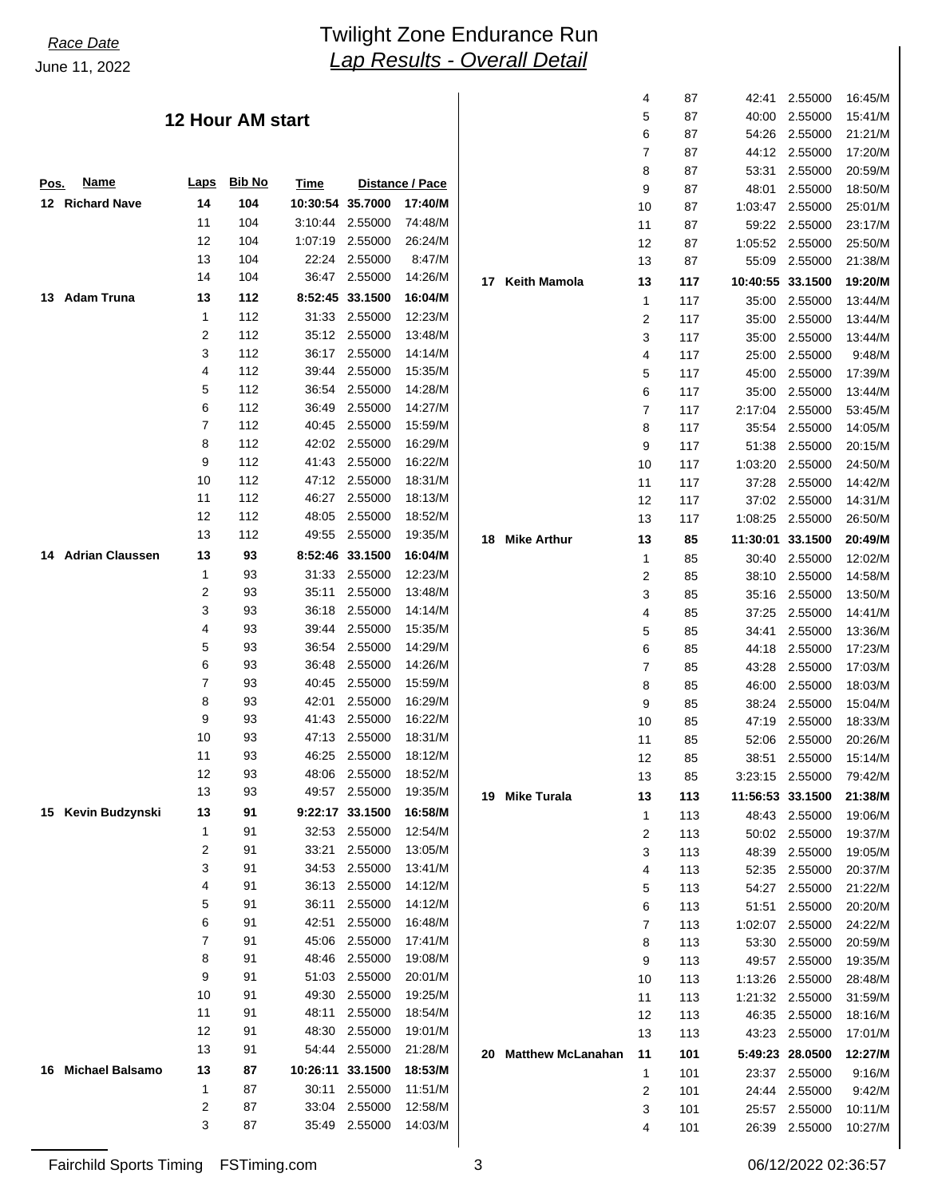# *Lap Results - Overall Detail* June 11, 2022 *Race Date* Twilight Zone Endurance Run

### **12 Hour AM start**

| Pos. | <u>Name</u>            | <u>Laps</u>    | <b>Bib No</b> | <b>Time</b> |         | Distance / Pace |  |
|------|------------------------|----------------|---------------|-------------|---------|-----------------|--|
| 12   | <b>Richard Nave</b>    | 14             | 104           | 10:30:54    | 35.7000 | 17:40/M         |  |
|      |                        | 11             | 104           | 3:10:44     | 2.55000 | 74:48/M         |  |
|      |                        | 12             | 104           | 1:07:19     | 2.55000 | 26:24/M         |  |
|      |                        | 13             | 104           | 22:24       | 2.55000 | 8:47/M          |  |
|      |                        | 14             | 104           | 36:47       | 2.55000 | 14:26/M         |  |
| 13   | <b>Adam Truna</b>      | 13             | 112           | 8:52:45     | 33.1500 | 16:04/M         |  |
|      |                        | 1              | 112           | 31:33       | 2.55000 | 12:23/M         |  |
|      |                        | $\overline{2}$ | 112           | 35:12       | 2.55000 | 13:48/M         |  |
|      |                        | 3              | 112           | 36:17       | 2.55000 | 14:14/M         |  |
|      |                        | 4              | 112           | 39:44       | 2.55000 | 15:35/M         |  |
|      |                        | 5              | 112           | 36:54       | 2.55000 | 14:28/M         |  |
|      |                        | 6              | 112           | 36:49       | 2.55000 | 14:27/M         |  |
|      |                        | 7              | 112           | 40:45       | 2.55000 | 15:59/M         |  |
|      |                        | 8              | 112           | 42:02       | 2.55000 | 16:29/M         |  |
|      |                        | 9              | 112           | 41:43       | 2.55000 | 16:22/M         |  |
|      |                        | 10             | 112           | 47:12       | 2.55000 | 18:31/M         |  |
|      |                        | 11             | 112           | 46:27       | 2.55000 | 18:13/M         |  |
|      |                        | 12             | 112           | 48:05       | 2.55000 | 18:52/M         |  |
|      |                        | 13             | 112           | 49:55       | 2.55000 | 19:35/M         |  |
| 14.  | <b>Adrian Claussen</b> | 13             | 93            | 8:52:46     | 33.1500 | 16:04/M         |  |
|      |                        | 1              | 93            | 31:33       | 2.55000 | 12:23/M         |  |
|      |                        | 2              | 93            | 35:11       | 2.55000 | 13:48/M         |  |
|      |                        | 3              | 93            | 36:18       | 2.55000 | 14:14/M         |  |
|      |                        | 4              | 93            | 39:44       | 2.55000 | 15:35/M         |  |
|      |                        | 5              | 93            | 36:54       | 2.55000 | 14:29/M         |  |
|      |                        | 6              | 93            | 36:48       | 2.55000 | 14:26/M         |  |
|      |                        | 7              | 93            | 40:45       | 2.55000 | 15:59/M         |  |
|      |                        | 8              | 93            | 42:01       | 2.55000 | 16:29/M         |  |
|      |                        | 9              | 93            | 41:43       | 2.55000 | 16:22/M         |  |
|      |                        | 10             | 93            | 47:13       | 2.55000 | 18:31/M         |  |
|      |                        | 11             | 93            | 46:25       | 2.55000 | 18:12/M         |  |
|      |                        | 12             | 93            | 48:06       | 2.55000 | 18:52/M         |  |
|      |                        | 13             | 93            | 49:57       | 2.55000 | 19:35/M         |  |
|      | 15 Kevin Budzynski     | 13             | 91            | 9:22:17     | 33.1500 | 16:58/M         |  |
|      |                        | 1              | 91            | 32:53       | 2.55000 | 12:54/M         |  |
|      |                        | 2              | 91            | 33:21       | 2.55000 | 13:05/M         |  |
|      |                        | 3              | 91            | 34:53       | 2.55000 | 13:41/M         |  |
|      |                        | 4              | 91            | 36:13       | 2.55000 | 14:12/M         |  |
|      |                        | 5              | 91            | 36:11       | 2.55000 | 14:12/M         |  |
|      |                        | 6              | 91            | 42:51       | 2.55000 | 16:48/M         |  |
|      |                        | 7              | 91            | 45:06       | 2.55000 | 17:41/M         |  |
|      |                        | 8              | 91            | 48:46       | 2.55000 | 19:08/M         |  |
|      |                        | 9              | 91            | 51:03       | 2.55000 | 20:01/M         |  |
|      |                        | 10             | 91            | 49:30       | 2.55000 | 19:25/M         |  |
|      |                        | 11             | 91            | 48:11       | 2.55000 | 18:54/M         |  |
|      |                        | 12             | 91            | 48:30       | 2.55000 | 19:01/M         |  |
|      |                        | 13             | 91            | 54:44       | 2.55000 | 21:28/M         |  |
| 16   | <b>Michael Balsamo</b> | 13             | 87            | 10:26:11    | 33.1500 | 18:53/M         |  |
|      |                        | 1              | 87            | 30:11       | 2.55000 | 11:51/M         |  |
|      |                        | 2              | 87            | 33:04       | 2.55000 | 12:58/M         |  |
|      |                        | 3              | 87            | 35:49       | 2.55000 | 14:03/M         |  |
|      |                        |                |               |             |         |                 |  |

|    |                          | 4                       | 87  | 42:41    | 2.55000 | 16:45/M |
|----|--------------------------|-------------------------|-----|----------|---------|---------|
|    |                          | 5                       | 87  | 40:00    | 2.55000 | 15:41/M |
|    |                          | 6                       | 87  | 54:26    | 2.55000 | 21:21/M |
|    |                          | 7                       | 87  | 44:12    | 2.55000 | 17:20/M |
|    |                          | 8                       | 87  | 53:31    | 2.55000 | 20:59/M |
|    |                          | 9                       | 87  | 48:01    | 2.55000 | 18:50/M |
|    |                          | 10                      | 87  | 1:03:47  | 2.55000 | 25:01/M |
|    |                          | 11                      | 87  | 59:22    | 2.55000 | 23:17/M |
|    |                          | 12                      | 87  | 1:05:52  | 2.55000 | 25:50/M |
|    |                          | 13                      | 87  | 55:09    | 2.55000 | 21:38/M |
| 17 | <b>Keith Mamola</b>      | 13                      | 117 | 10:40:55 | 33.1500 | 19:20/M |
|    |                          | 1                       | 117 | 35:00    | 2.55000 | 13:44/M |
|    |                          | $\overline{\mathbf{c}}$ | 117 | 35:00    | 2.55000 | 13:44/M |
|    |                          | 3                       | 117 | 35:00    | 2.55000 | 13:44/M |
|    |                          | 4                       | 117 | 25:00    | 2.55000 | 9:48/M  |
|    |                          | 5                       | 117 | 45:00    | 2.55000 | 17:39/M |
|    |                          | 6                       | 117 | 35:00    | 2.55000 | 13:44/M |
|    |                          | 7                       | 117 | 2:17:04  | 2.55000 | 53:45/M |
|    |                          | 8                       | 117 | 35:54    | 2.55000 | 14:05/M |
|    |                          | 9                       | 117 | 51:38    | 2.55000 | 20:15/M |
|    |                          | 10                      | 117 | 1:03:20  | 2.55000 | 24:50/M |
|    |                          | 11                      | 117 | 37:28    | 2.55000 | 14:42/M |
|    |                          | 12                      | 117 | 37:02    | 2.55000 | 14:31/M |
|    |                          | 13                      | 117 | 1:08:25  | 2.55000 | 26:50/M |
| 18 | <b>Mike Arthur</b>       | 13                      | 85  | 11:30:01 | 33.1500 | 20:49/M |
|    |                          | 1                       | 85  | 30:40    | 2.55000 | 12:02/M |
|    |                          | $\overline{\mathbf{c}}$ | 85  | 38:10    | 2.55000 | 14:58/M |
|    |                          | 3                       | 85  | 35:16    | 2.55000 | 13:50/M |
|    |                          | 4                       | 85  | 37:25    | 2.55000 | 14:41/M |
|    |                          | 5                       | 85  | 34:41    | 2.55000 | 13:36/M |
|    |                          | 6                       | 85  | 44:18    | 2.55000 | 17:23/M |
|    |                          | 7                       | 85  | 43:28    | 2.55000 | 17:03/M |
|    |                          | 8                       | 85  | 46:00    | 2.55000 | 18:03/M |
|    |                          | 9                       | 85  | 38:24    | 2.55000 | 15:04/M |
|    |                          | 10                      | 85  | 47:19    | 2.55000 | 18:33/M |
|    |                          | 11                      | 85  | 52:06    | 2.55000 | 20:26/M |
|    |                          | 12                      | 85  | 38:51    | 2.55000 | 15:14/M |
|    |                          | 13                      | 85  | 3:23:15  | 2.55000 | 79:42/M |
| 19 | <b>Mike Turala</b>       | 13                      | 113 | 11:56:53 | 33.1500 | 21:38/M |
|    |                          | 1                       | 113 | 48:43    | 2.55000 | 19:06/M |
|    |                          | 2                       | 113 | 50:02    | 2.55000 | 19:37/M |
|    |                          | 3                       | 113 | 48:39    | 2.55000 | 19:05/M |
|    |                          | 4                       | 113 | 52:35    | 2.55000 | 20:37/M |
|    |                          | 5                       | 113 | 54:27    | 2.55000 | 21:22/M |
|    |                          | 6                       | 113 | 51:51    | 2.55000 | 20:20/M |
|    |                          | 7                       | 113 | 1:02:07  | 2.55000 | 24:22/M |
|    |                          | 8                       | 113 | 53:30    | 2.55000 | 20:59/M |
|    |                          | 9                       | 113 | 49:57    | 2.55000 | 19:35/M |
|    |                          | 10                      | 113 | 1:13:26  | 2.55000 | 28:48/M |
|    |                          | 11                      | 113 | 1:21:32  | 2.55000 | 31:59/M |
|    |                          | 12                      | 113 | 46:35    | 2.55000 | 18:16/M |
|    |                          | 13                      | 113 | 43:23    | 2.55000 | 17:01/M |
| 20 | <b>Matthew McLanahan</b> | 11                      | 101 | 5:49:23  | 28.0500 | 12:27/M |
|    |                          | 1                       | 101 | 23:37    | 2.55000 | 9:16/M  |
|    |                          | $\overline{2}$          | 101 | 24:44    | 2.55000 | 9:42/M  |
|    |                          | 3                       | 101 | 25:57    | 2.55000 | 10:11/M |
|    |                          | 4                       | 101 | 26:39    | 2.55000 | 10:27/M |